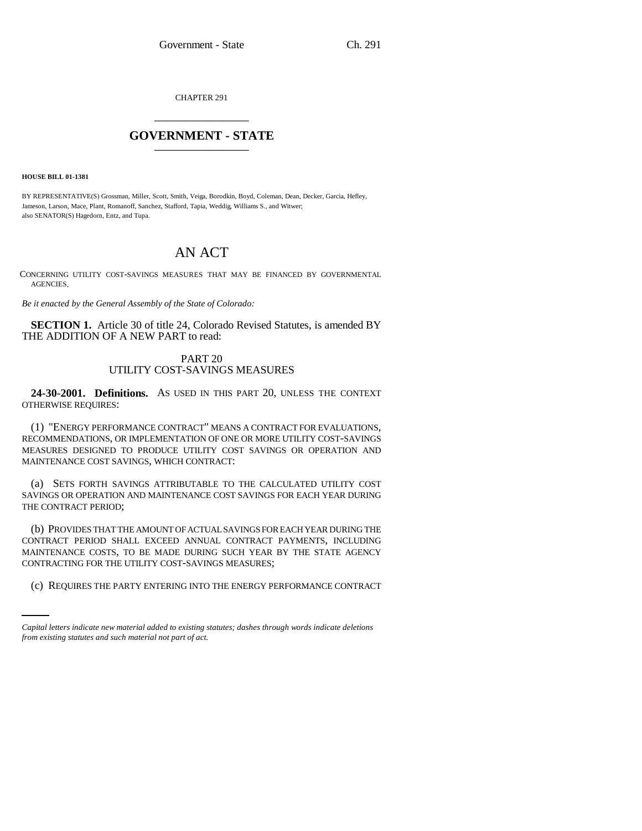CHAPTER 291 \_\_\_\_\_\_\_\_\_\_\_\_\_\_\_

## **GOVERNMENT - STATE** \_\_\_\_\_\_\_\_\_\_\_\_\_\_\_

**HOUSE BILL 01-1381**

BY REPRESENTATIVE(S) Grossman, Miller, Scott, Smith, Veiga, Borodkin, Boyd, Coleman, Dean, Decker, Garcia, Hefley, Jameson, Larson, Mace, Plant, Romanoff, Sanchez, Stafford, Tapia, Weddig, Williams S., and Witwer; also SENATOR(S) Hagedorn, Entz, and Tupa.

# AN ACT

CONCERNING UTILITY COST-SAVINGS MEASURES THAT MAY BE FINANCED BY GOVERNMENTAL AGENCIES.

*Be it enacted by the General Assembly of the State of Colorado:*

**SECTION 1.** Article 30 of title 24, Colorado Revised Statutes, is amended BY THE ADDITION OF A NEW PART to read:

### PART 20 UTILITY COST-SAVINGS MEASURES

**24-30-2001. Definitions.** AS USED IN THIS PART 20, UNLESS THE CONTEXT OTHERWISE REQUIRES:

(1) "ENERGY PERFORMANCE CONTRACT" MEANS A CONTRACT FOR EVALUATIONS, RECOMMENDATIONS, OR IMPLEMENTATION OF ONE OR MORE UTILITY COST-SAVINGS MEASURES DESIGNED TO PRODUCE UTILITY COST SAVINGS OR OPERATION AND MAINTENANCE COST SAVINGS, WHICH CONTRACT:

(a) SETS FORTH SAVINGS ATTRIBUTABLE TO THE CALCULATED UTILITY COST SAVINGS OR OPERATION AND MAINTENANCE COST SAVINGS FOR EACH YEAR DURING THE CONTRACT PERIOD;

CONTRACTING FOR THE UTILITY COST-SAVINGS MEASURES; (b) PROVIDES THAT THE AMOUNT OF ACTUAL SAVINGS FOR EACH YEAR DURING THE CONTRACT PERIOD SHALL EXCEED ANNUAL CONTRACT PAYMENTS, INCLUDING MAINTENANCE COSTS, TO BE MADE DURING SUCH YEAR BY THE STATE AGENCY

(c) REQUIRES THE PARTY ENTERING INTO THE ENERGY PERFORMANCE CONTRACT

*Capital letters indicate new material added to existing statutes; dashes through words indicate deletions from existing statutes and such material not part of act.*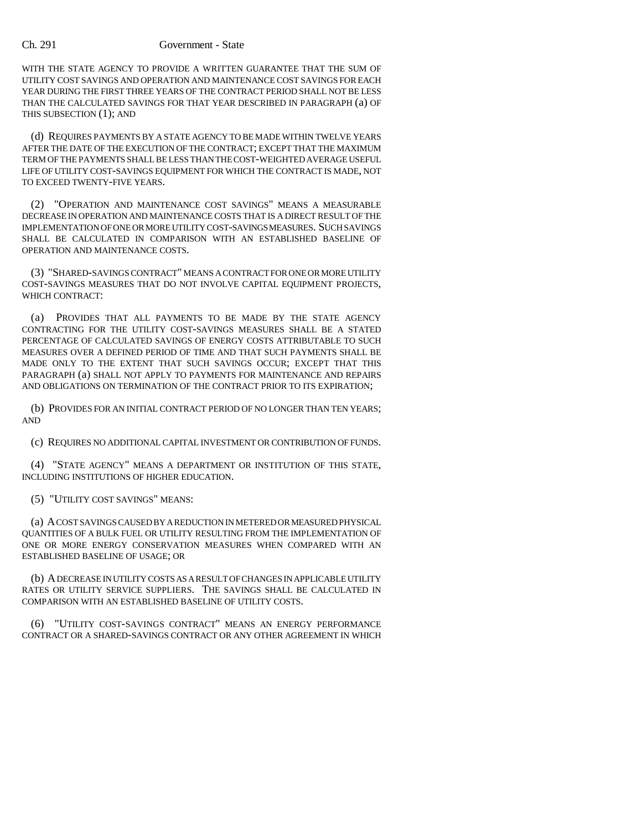#### Ch. 291 Government - State

WITH THE STATE AGENCY TO PROVIDE A WRITTEN GUARANTEE THAT THE SUM OF UTILITY COST SAVINGS AND OPERATION AND MAINTENANCE COST SAVINGS FOR EACH YEAR DURING THE FIRST THREE YEARS OF THE CONTRACT PERIOD SHALL NOT BE LESS THAN THE CALCULATED SAVINGS FOR THAT YEAR DESCRIBED IN PARAGRAPH (a) OF THIS SUBSECTION (1); AND

(d) REQUIRES PAYMENTS BY A STATE AGENCY TO BE MADE WITHIN TWELVE YEARS AFTER THE DATE OF THE EXECUTION OF THE CONTRACT; EXCEPT THAT THE MAXIMUM TERM OF THE PAYMENTS SHALL BE LESS THAN THE COST-WEIGHTED AVERAGE USEFUL LIFE OF UTILITY COST-SAVINGS EQUIPMENT FOR WHICH THE CONTRACT IS MADE, NOT TO EXCEED TWENTY-FIVE YEARS.

(2) "OPERATION AND MAINTENANCE COST SAVINGS" MEANS A MEASURABLE DECREASE IN OPERATION AND MAINTENANCE COSTS THAT IS A DIRECT RESULT OF THE IMPLEMENTATION OF ONE OR MORE UTILITY COST-SAVINGS MEASURES. SUCH SAVINGS SHALL BE CALCULATED IN COMPARISON WITH AN ESTABLISHED BASELINE OF OPERATION AND MAINTENANCE COSTS.

(3) "SHARED-SAVINGS CONTRACT" MEANS A CONTRACT FOR ONE OR MORE UTILITY COST-SAVINGS MEASURES THAT DO NOT INVOLVE CAPITAL EQUIPMENT PROJECTS, WHICH CONTRACT:

(a) PROVIDES THAT ALL PAYMENTS TO BE MADE BY THE STATE AGENCY CONTRACTING FOR THE UTILITY COST-SAVINGS MEASURES SHALL BE A STATED PERCENTAGE OF CALCULATED SAVINGS OF ENERGY COSTS ATTRIBUTABLE TO SUCH MEASURES OVER A DEFINED PERIOD OF TIME AND THAT SUCH PAYMENTS SHALL BE MADE ONLY TO THE EXTENT THAT SUCH SAVINGS OCCUR; EXCEPT THAT THIS PARAGRAPH (a) SHALL NOT APPLY TO PAYMENTS FOR MAINTENANCE AND REPAIRS AND OBLIGATIONS ON TERMINATION OF THE CONTRACT PRIOR TO ITS EXPIRATION;

(b) PROVIDES FOR AN INITIAL CONTRACT PERIOD OF NO LONGER THAN TEN YEARS; AND

(c) REQUIRES NO ADDITIONAL CAPITAL INVESTMENT OR CONTRIBUTION OF FUNDS.

(4) "STATE AGENCY" MEANS A DEPARTMENT OR INSTITUTION OF THIS STATE, INCLUDING INSTITUTIONS OF HIGHER EDUCATION.

(5) "UTILITY COST SAVINGS" MEANS:

(a) A COST SAVINGS CAUSED BY A REDUCTION IN METERED OR MEASURED PHYSICAL QUANTITIES OF A BULK FUEL OR UTILITY RESULTING FROM THE IMPLEMENTATION OF ONE OR MORE ENERGY CONSERVATION MEASURES WHEN COMPARED WITH AN ESTABLISHED BASELINE OF USAGE; OR

(b) A DECREASE IN UTILITY COSTS AS A RESULT OF CHANGES IN APPLICABLE UTILITY RATES OR UTILITY SERVICE SUPPLIERS. THE SAVINGS SHALL BE CALCULATED IN COMPARISON WITH AN ESTABLISHED BASELINE OF UTILITY COSTS.

(6) "UTILITY COST-SAVINGS CONTRACT" MEANS AN ENERGY PERFORMANCE CONTRACT OR A SHARED-SAVINGS CONTRACT OR ANY OTHER AGREEMENT IN WHICH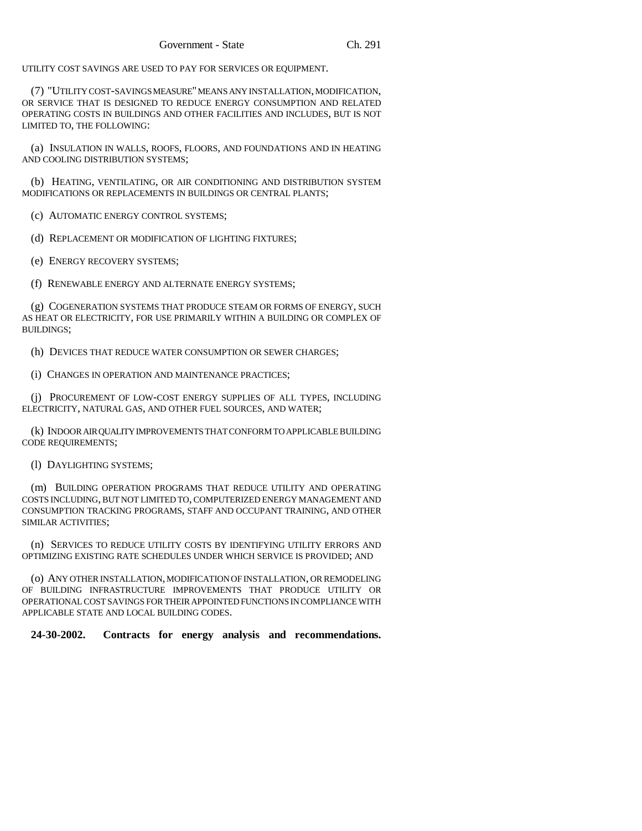UTILITY COST SAVINGS ARE USED TO PAY FOR SERVICES OR EQUIPMENT.

(7) "UTILITY COST-SAVINGS MEASURE" MEANS ANY INSTALLATION, MODIFICATION, OR SERVICE THAT IS DESIGNED TO REDUCE ENERGY CONSUMPTION AND RELATED OPERATING COSTS IN BUILDINGS AND OTHER FACILITIES AND INCLUDES, BUT IS NOT LIMITED TO, THE FOLLOWING:

(a) INSULATION IN WALLS, ROOFS, FLOORS, AND FOUNDATIONS AND IN HEATING AND COOLING DISTRIBUTION SYSTEMS;

(b) HEATING, VENTILATING, OR AIR CONDITIONING AND DISTRIBUTION SYSTEM MODIFICATIONS OR REPLACEMENTS IN BUILDINGS OR CENTRAL PLANTS;

(c) AUTOMATIC ENERGY CONTROL SYSTEMS;

(d) REPLACEMENT OR MODIFICATION OF LIGHTING FIXTURES;

(e) ENERGY RECOVERY SYSTEMS;

(f) RENEWABLE ENERGY AND ALTERNATE ENERGY SYSTEMS;

(g) COGENERATION SYSTEMS THAT PRODUCE STEAM OR FORMS OF ENERGY, SUCH AS HEAT OR ELECTRICITY, FOR USE PRIMARILY WITHIN A BUILDING OR COMPLEX OF BUILDINGS;

(h) DEVICES THAT REDUCE WATER CONSUMPTION OR SEWER CHARGES;

(i) CHANGES IN OPERATION AND MAINTENANCE PRACTICES;

(j) PROCUREMENT OF LOW-COST ENERGY SUPPLIES OF ALL TYPES, INCLUDING ELECTRICITY, NATURAL GAS, AND OTHER FUEL SOURCES, AND WATER;

(k) INDOOR AIR QUALITY IMPROVEMENTS THAT CONFORM TO APPLICABLE BUILDING CODE REQUIREMENTS;

(l) DAYLIGHTING SYSTEMS;

(m) BUILDING OPERATION PROGRAMS THAT REDUCE UTILITY AND OPERATING COSTS INCLUDING, BUT NOT LIMITED TO, COMPUTERIZED ENERGY MANAGEMENT AND CONSUMPTION TRACKING PROGRAMS, STAFF AND OCCUPANT TRAINING, AND OTHER SIMILAR ACTIVITIES;

(n) SERVICES TO REDUCE UTILITY COSTS BY IDENTIFYING UTILITY ERRORS AND OPTIMIZING EXISTING RATE SCHEDULES UNDER WHICH SERVICE IS PROVIDED; AND

(o) ANY OTHER INSTALLATION, MODIFICATION OF INSTALLATION, OR REMODELING OF BUILDING INFRASTRUCTURE IMPROVEMENTS THAT PRODUCE UTILITY OR OPERATIONAL COST SAVINGS FOR THEIR APPOINTED FUNCTIONS IN COMPLIANCE WITH APPLICABLE STATE AND LOCAL BUILDING CODES.

**24-30-2002. Contracts for energy analysis and recommendations.**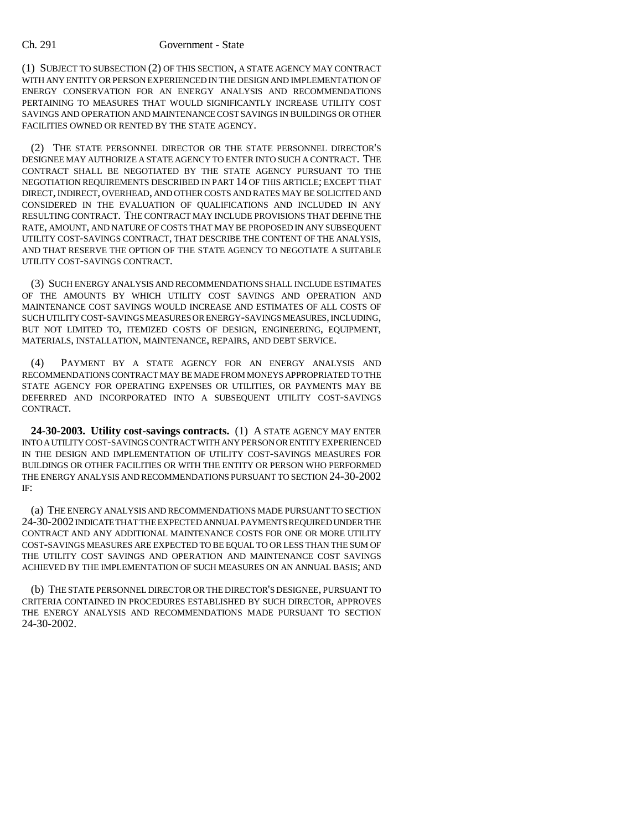#### Ch. 291 Government - State

(1) SUBJECT TO SUBSECTION (2) OF THIS SECTION, A STATE AGENCY MAY CONTRACT WITH ANY ENTITY OR PERSON EXPERIENCED IN THE DESIGN AND IMPLEMENTATION OF ENERGY CONSERVATION FOR AN ENERGY ANALYSIS AND RECOMMENDATIONS PERTAINING TO MEASURES THAT WOULD SIGNIFICANTLY INCREASE UTILITY COST SAVINGS AND OPERATION AND MAINTENANCE COST SAVINGS IN BUILDINGS OR OTHER FACILITIES OWNED OR RENTED BY THE STATE AGENCY.

(2) THE STATE PERSONNEL DIRECTOR OR THE STATE PERSONNEL DIRECTOR'S DESIGNEE MAY AUTHORIZE A STATE AGENCY TO ENTER INTO SUCH A CONTRACT. THE CONTRACT SHALL BE NEGOTIATED BY THE STATE AGENCY PURSUANT TO THE NEGOTIATION REQUIREMENTS DESCRIBED IN PART 14 OF THIS ARTICLE; EXCEPT THAT DIRECT, INDIRECT, OVERHEAD, AND OTHER COSTS AND RATES MAY BE SOLICITED AND CONSIDERED IN THE EVALUATION OF QUALIFICATIONS AND INCLUDED IN ANY RESULTING CONTRACT. THE CONTRACT MAY INCLUDE PROVISIONS THAT DEFINE THE RATE, AMOUNT, AND NATURE OF COSTS THAT MAY BE PROPOSED IN ANY SUBSEQUENT UTILITY COST-SAVINGS CONTRACT, THAT DESCRIBE THE CONTENT OF THE ANALYSIS, AND THAT RESERVE THE OPTION OF THE STATE AGENCY TO NEGOTIATE A SUITABLE UTILITY COST-SAVINGS CONTRACT.

(3) SUCH ENERGY ANALYSIS AND RECOMMENDATIONS SHALL INCLUDE ESTIMATES OF THE AMOUNTS BY WHICH UTILITY COST SAVINGS AND OPERATION AND MAINTENANCE COST SAVINGS WOULD INCREASE AND ESTIMATES OF ALL COSTS OF SUCH UTILITY COST-SAVINGS MEASURES OR ENERGY-SAVINGS MEASURES, INCLUDING, BUT NOT LIMITED TO, ITEMIZED COSTS OF DESIGN, ENGINEERING, EQUIPMENT, MATERIALS, INSTALLATION, MAINTENANCE, REPAIRS, AND DEBT SERVICE.

(4) PAYMENT BY A STATE AGENCY FOR AN ENERGY ANALYSIS AND RECOMMENDATIONS CONTRACT MAY BE MADE FROM MONEYS APPROPRIATED TO THE STATE AGENCY FOR OPERATING EXPENSES OR UTILITIES, OR PAYMENTS MAY BE DEFERRED AND INCORPORATED INTO A SUBSEQUENT UTILITY COST-SAVINGS CONTRACT.

**24-30-2003. Utility cost-savings contracts.** (1) A STATE AGENCY MAY ENTER INTO A UTILITY COST-SAVINGS CONTRACT WITH ANY PERSON OR ENTITY EXPERIENCED IN THE DESIGN AND IMPLEMENTATION OF UTILITY COST-SAVINGS MEASURES FOR BUILDINGS OR OTHER FACILITIES OR WITH THE ENTITY OR PERSON WHO PERFORMED THE ENERGY ANALYSIS AND RECOMMENDATIONS PURSUANT TO SECTION 24-30-2002 IF:

(a) THE ENERGY ANALYSIS AND RECOMMENDATIONS MADE PURSUANT TO SECTION 24-30-2002 INDICATE THAT THE EXPECTED ANNUAL PAYMENTS REQUIRED UNDER THE CONTRACT AND ANY ADDITIONAL MAINTENANCE COSTS FOR ONE OR MORE UTILITY COST-SAVINGS MEASURES ARE EXPECTED TO BE EQUAL TO OR LESS THAN THE SUM OF THE UTILITY COST SAVINGS AND OPERATION AND MAINTENANCE COST SAVINGS ACHIEVED BY THE IMPLEMENTATION OF SUCH MEASURES ON AN ANNUAL BASIS; AND

(b) THE STATE PERSONNEL DIRECTOR OR THE DIRECTOR'S DESIGNEE, PURSUANT TO CRITERIA CONTAINED IN PROCEDURES ESTABLISHED BY SUCH DIRECTOR, APPROVES THE ENERGY ANALYSIS AND RECOMMENDATIONS MADE PURSUANT TO SECTION 24-30-2002.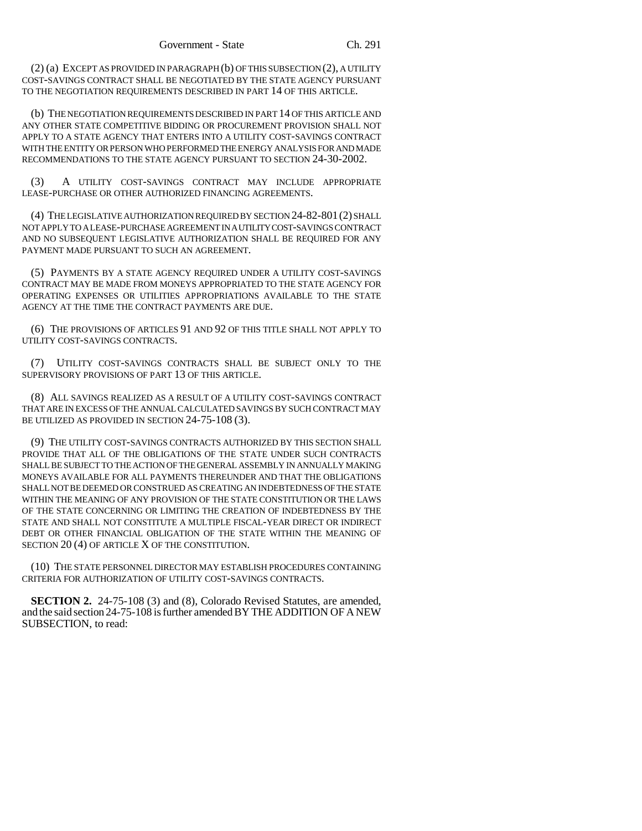(2) (a) EXCEPT AS PROVIDED IN PARAGRAPH (b) OF THIS SUBSECTION (2), A UTILITY COST-SAVINGS CONTRACT SHALL BE NEGOTIATED BY THE STATE AGENCY PURSUANT TO THE NEGOTIATION REQUIREMENTS DESCRIBED IN PART 14 OF THIS ARTICLE.

(b) THE NEGOTIATION REQUIREMENTS DESCRIBED IN PART 14 OF THIS ARTICLE AND ANY OTHER STATE COMPETITIVE BIDDING OR PROCUREMENT PROVISION SHALL NOT APPLY TO A STATE AGENCY THAT ENTERS INTO A UTILITY COST-SAVINGS CONTRACT WITH THE ENTITY OR PERSON WHO PERFORMED THE ENERGY ANALYSIS FOR AND MADE RECOMMENDATIONS TO THE STATE AGENCY PURSUANT TO SECTION 24-30-2002.

(3) A UTILITY COST-SAVINGS CONTRACT MAY INCLUDE APPROPRIATE LEASE-PURCHASE OR OTHER AUTHORIZED FINANCING AGREEMENTS.

(4) THE LEGISLATIVE AUTHORIZATION REQUIRED BY SECTION 24-82-801(2) SHALL NOT APPLY TO A LEASE-PURCHASE AGREEMENT IN A UTILITY COST-SAVINGS CONTRACT AND NO SUBSEQUENT LEGISLATIVE AUTHORIZATION SHALL BE REQUIRED FOR ANY PAYMENT MADE PURSUANT TO SUCH AN AGREEMENT.

(5) PAYMENTS BY A STATE AGENCY REQUIRED UNDER A UTILITY COST-SAVINGS CONTRACT MAY BE MADE FROM MONEYS APPROPRIATED TO THE STATE AGENCY FOR OPERATING EXPENSES OR UTILITIES APPROPRIATIONS AVAILABLE TO THE STATE AGENCY AT THE TIME THE CONTRACT PAYMENTS ARE DUE.

(6) THE PROVISIONS OF ARTICLES 91 AND 92 OF THIS TITLE SHALL NOT APPLY TO UTILITY COST-SAVINGS CONTRACTS.

(7) UTILITY COST-SAVINGS CONTRACTS SHALL BE SUBJECT ONLY TO THE SUPERVISORY PROVISIONS OF PART 13 OF THIS ARTICLE.

(8) ALL SAVINGS REALIZED AS A RESULT OF A UTILITY COST-SAVINGS CONTRACT THAT ARE IN EXCESS OF THE ANNUAL CALCULATED SAVINGS BY SUCH CONTRACT MAY BE UTILIZED AS PROVIDED IN SECTION 24-75-108 (3).

(9) THE UTILITY COST-SAVINGS CONTRACTS AUTHORIZED BY THIS SECTION SHALL PROVIDE THAT ALL OF THE OBLIGATIONS OF THE STATE UNDER SUCH CONTRACTS SHALL BE SUBJECT TO THE ACTION OF THE GENERAL ASSEMBLY IN ANNUALLY MAKING MONEYS AVAILABLE FOR ALL PAYMENTS THEREUNDER AND THAT THE OBLIGATIONS SHALL NOT BE DEEMED OR CONSTRUED AS CREATING AN INDEBTEDNESS OF THE STATE WITHIN THE MEANING OF ANY PROVISION OF THE STATE CONSTITUTION OR THE LAWS OF THE STATE CONCERNING OR LIMITING THE CREATION OF INDEBTEDNESS BY THE STATE AND SHALL NOT CONSTITUTE A MULTIPLE FISCAL-YEAR DIRECT OR INDIRECT DEBT OR OTHER FINANCIAL OBLIGATION OF THE STATE WITHIN THE MEANING OF SECTION 20 (4) OF ARTICLE X OF THE CONSTITUTION.

(10) THE STATE PERSONNEL DIRECTOR MAY ESTABLISH PROCEDURES CONTAINING CRITERIA FOR AUTHORIZATION OF UTILITY COST-SAVINGS CONTRACTS.

**SECTION 2.** 24-75-108 (3) and (8), Colorado Revised Statutes, are amended, and the said section 24-75-108 is further amended BY THE ADDITION OF A NEW SUBSECTION, to read: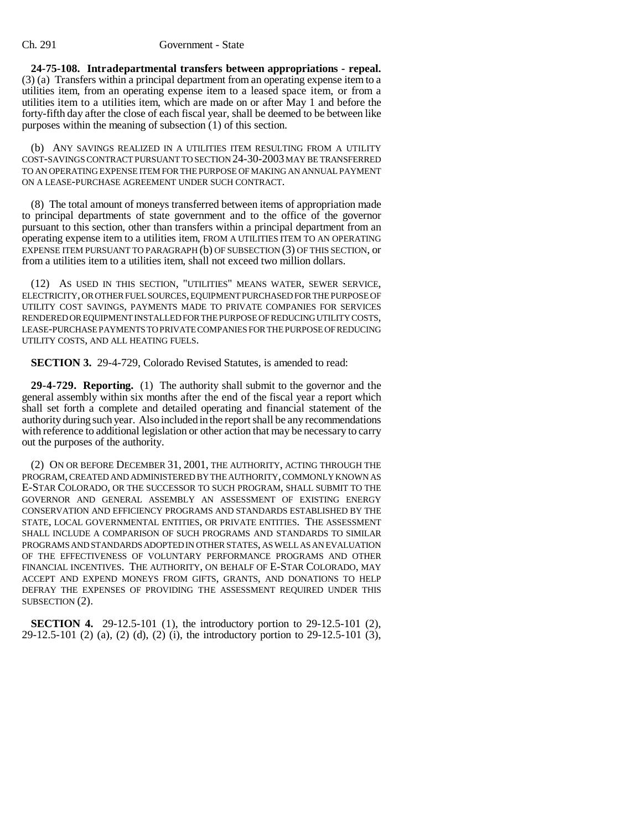**24-75-108. Intradepartmental transfers between appropriations - repeal.** (3) (a) Transfers within a principal department from an operating expense item to a utilities item, from an operating expense item to a leased space item, or from a utilities item to a utilities item, which are made on or after May 1 and before the forty-fifth day after the close of each fiscal year, shall be deemed to be between like purposes within the meaning of subsection (1) of this section.

(b) ANY SAVINGS REALIZED IN A UTILITIES ITEM RESULTING FROM A UTILITY COST-SAVINGS CONTRACT PURSUANT TO SECTION 24-30-2003 MAY BE TRANSFERRED TO AN OPERATING EXPENSE ITEM FOR THE PURPOSE OF MAKING AN ANNUAL PAYMENT ON A LEASE-PURCHASE AGREEMENT UNDER SUCH CONTRACT.

(8) The total amount of moneys transferred between items of appropriation made to principal departments of state government and to the office of the governor pursuant to this section, other than transfers within a principal department from an operating expense item to a utilities item, FROM A UTILITIES ITEM TO AN OPERATING EXPENSE ITEM PURSUANT TO PARAGRAPH (b) OF SUBSECTION (3) OF THIS SECTION, or from a utilities item to a utilities item, shall not exceed two million dollars.

(12) AS USED IN THIS SECTION, "UTILITIES" MEANS WATER, SEWER SERVICE, ELECTRICITY, OR OTHER FUEL SOURCES, EQUIPMENT PURCHASED FOR THE PURPOSE OF UTILITY COST SAVINGS, PAYMENTS MADE TO PRIVATE COMPANIES FOR SERVICES RENDERED OR EQUIPMENT INSTALLED FOR THE PURPOSE OF REDUCING UTILITY COSTS, LEASE-PURCHASE PAYMENTS TO PRIVATE COMPANIES FOR THE PURPOSE OF REDUCING UTILITY COSTS, AND ALL HEATING FUELS.

**SECTION 3.** 29-4-729, Colorado Revised Statutes, is amended to read:

**29-4-729. Reporting.** (1) The authority shall submit to the governor and the general assembly within six months after the end of the fiscal year a report which shall set forth a complete and detailed operating and financial statement of the authority during such year. Also included in the report shall be any recommendations with reference to additional legislation or other action that may be necessary to carry out the purposes of the authority.

(2) ON OR BEFORE DECEMBER 31, 2001, THE AUTHORITY, ACTING THROUGH THE PROGRAM, CREATED AND ADMINISTERED BY THE AUTHORITY, COMMONLY KNOWN AS E-STAR COLORADO, OR THE SUCCESSOR TO SUCH PROGRAM, SHALL SUBMIT TO THE GOVERNOR AND GENERAL ASSEMBLY AN ASSESSMENT OF EXISTING ENERGY CONSERVATION AND EFFICIENCY PROGRAMS AND STANDARDS ESTABLISHED BY THE STATE, LOCAL GOVERNMENTAL ENTITIES, OR PRIVATE ENTITIES. THE ASSESSMENT SHALL INCLUDE A COMPARISON OF SUCH PROGRAMS AND STANDARDS TO SIMILAR PROGRAMS AND STANDARDS ADOPTED IN OTHER STATES, AS WELL AS AN EVALUATION OF THE EFFECTIVENESS OF VOLUNTARY PERFORMANCE PROGRAMS AND OTHER FINANCIAL INCENTIVES. THE AUTHORITY, ON BEHALF OF E-STAR COLORADO, MAY ACCEPT AND EXPEND MONEYS FROM GIFTS, GRANTS, AND DONATIONS TO HELP DEFRAY THE EXPENSES OF PROVIDING THE ASSESSMENT REQUIRED UNDER THIS SUBSECTION (2).

**SECTION 4.** 29-12.5-101 (1), the introductory portion to 29-12.5-101 (2), 29-12.5-101 (2) (a), (2) (d), (2) (i), the introductory portion to 29-12.5-101 (3),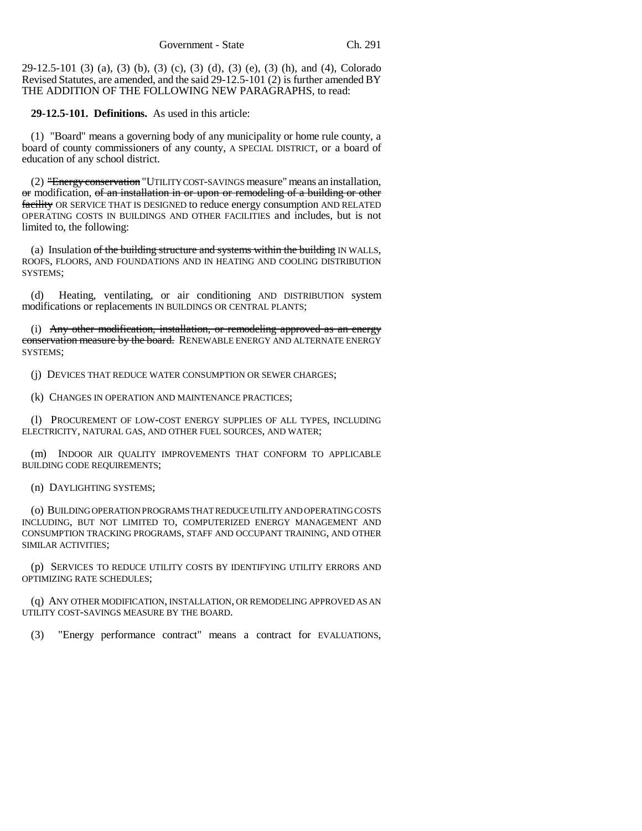29-12.5-101 (3) (a), (3) (b), (3) (c), (3) (d), (3) (e), (3) (h), and (4), Colorado Revised Statutes, are amended, and the said 29-12.5-101 (2) is further amended BY THE ADDITION OF THE FOLLOWING NEW PARAGRAPHS, to read:

**29-12.5-101. Definitions.** As used in this article:

(1) "Board" means a governing body of any municipality or home rule county, a board of county commissioners of any county, A SPECIAL DISTRICT, or a board of education of any school district.

(2) "Energy conservation "UTILITY COST-SAVINGS measure" means an installation, or modification, of an installation in or upon or remodeling of a building or other facility OR SERVICE THAT IS DESIGNED to reduce energy consumption AND RELATED OPERATING COSTS IN BUILDINGS AND OTHER FACILITIES and includes, but is not limited to, the following:

(a) Insulation  $of$  the building structure and systems within the building IN WALLS, ROOFS, FLOORS, AND FOUNDATIONS AND IN HEATING AND COOLING DISTRIBUTION SYSTEMS;

(d) Heating, ventilating, or air conditioning AND DISTRIBUTION system modifications or replacements IN BUILDINGS OR CENTRAL PLANTS;

(i) Any other modification, installation, or remodeling approved as an energy conservation measure by the board. RENEWABLE ENERGY AND ALTERNATE ENERGY SYSTEMS;

(j) DEVICES THAT REDUCE WATER CONSUMPTION OR SEWER CHARGES;

(k) CHANGES IN OPERATION AND MAINTENANCE PRACTICES;

(l) PROCUREMENT OF LOW-COST ENERGY SUPPLIES OF ALL TYPES, INCLUDING ELECTRICITY, NATURAL GAS, AND OTHER FUEL SOURCES, AND WATER;

(m) INDOOR AIR QUALITY IMPROVEMENTS THAT CONFORM TO APPLICABLE BUILDING CODE REQUIREMENTS;

(n) DAYLIGHTING SYSTEMS;

(o) BUILDING OPERATION PROGRAMS THAT REDUCE UTILITY AND OPERATING COSTS INCLUDING, BUT NOT LIMITED TO, COMPUTERIZED ENERGY MANAGEMENT AND CONSUMPTION TRACKING PROGRAMS, STAFF AND OCCUPANT TRAINING, AND OTHER SIMILAR ACTIVITIES;

(p) SERVICES TO REDUCE UTILITY COSTS BY IDENTIFYING UTILITY ERRORS AND OPTIMIZING RATE SCHEDULES;

(q) ANY OTHER MODIFICATION, INSTALLATION, OR REMODELING APPROVED AS AN UTILITY COST-SAVINGS MEASURE BY THE BOARD.

(3) "Energy performance contract" means a contract for EVALUATIONS,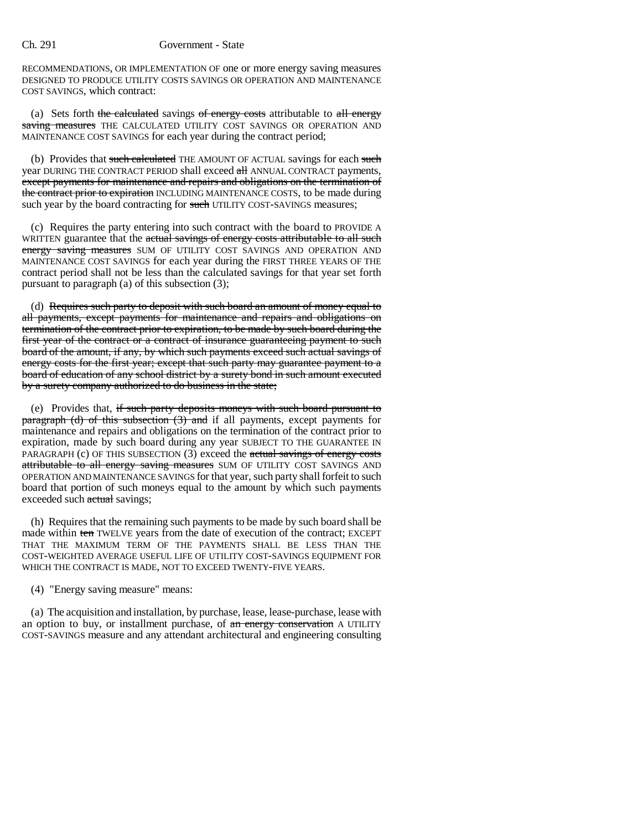#### Ch. 291 Government - State

RECOMMENDATIONS, OR IMPLEMENTATION OF one or more energy saving measures DESIGNED TO PRODUCE UTILITY COSTS SAVINGS OR OPERATION AND MAINTENANCE COST SAVINGS, which contract:

(a) Sets forth the calculated savings of energy costs attributable to  $all$  energy saving measures THE CALCULATED UTILITY COST SAVINGS OR OPERATION AND MAINTENANCE COST SAVINGS for each year during the contract period;

(b) Provides that such calculated THE AMOUNT OF ACTUAL savings for each such year DURING THE CONTRACT PERIOD shall exceed all ANNUAL CONTRACT payments, except payments for maintenance and repairs and obligations on the termination of the contract prior to expiration INCLUDING MAINTENANCE COSTS, to be made during such year by the board contracting for such UTILITY COST-SAVINGS measures;

(c) Requires the party entering into such contract with the board to PROVIDE A WRITTEN guarantee that the actual savings of energy costs attributable to all such energy saving measures SUM OF UTILITY COST SAVINGS AND OPERATION AND MAINTENANCE COST SAVINGS for each year during the FIRST THREE YEARS OF THE contract period shall not be less than the calculated savings for that year set forth pursuant to paragraph (a) of this subsection (3);

(d) Requires such party to deposit with such board an amount of money equal to all payments, except payments for maintenance and repairs and obligations on termination of the contract prior to expiration, to be made by such board during the first year of the contract or a contract of insurance guaranteeing payment to such board of the amount, if any, by which such payments exceed such actual savings of energy costs for the first year; except that such party may guarantee payment to a board of education of any school district by a surety bond in such amount executed by a surety company authorized to do business in the state;

(e) Provides that, if such party deposits moneys with such board pursuant to  $\frac{1}{2}$  paragraph (d) of this subsection (3) and if all payments, except payments for maintenance and repairs and obligations on the termination of the contract prior to expiration, made by such board during any year SUBJECT TO THE GUARANTEE IN PARAGRAPH (c) OF THIS SUBSECTION (3) exceed the actual savings of energy costs attributable to all energy saving measures SUM OF UTILITY COST SAVINGS AND OPERATION AND MAINTENANCE SAVINGS for that year, such party shall forfeit to such board that portion of such moneys equal to the amount by which such payments exceeded such actual savings;

(h) Requires that the remaining such payments to be made by such board shall be made within ten TWELVE years from the date of execution of the contract; EXCEPT THAT THE MAXIMUM TERM OF THE PAYMENTS SHALL BE LESS THAN THE COST-WEIGHTED AVERAGE USEFUL LIFE OF UTILITY COST-SAVINGS EQUIPMENT FOR WHICH THE CONTRACT IS MADE, NOT TO EXCEED TWENTY-FIVE YEARS.

(4) "Energy saving measure" means:

(a) The acquisition and installation, by purchase, lease, lease-purchase, lease with an option to buy, or installment purchase, of an energy conservation A UTILITY COST-SAVINGS measure and any attendant architectural and engineering consulting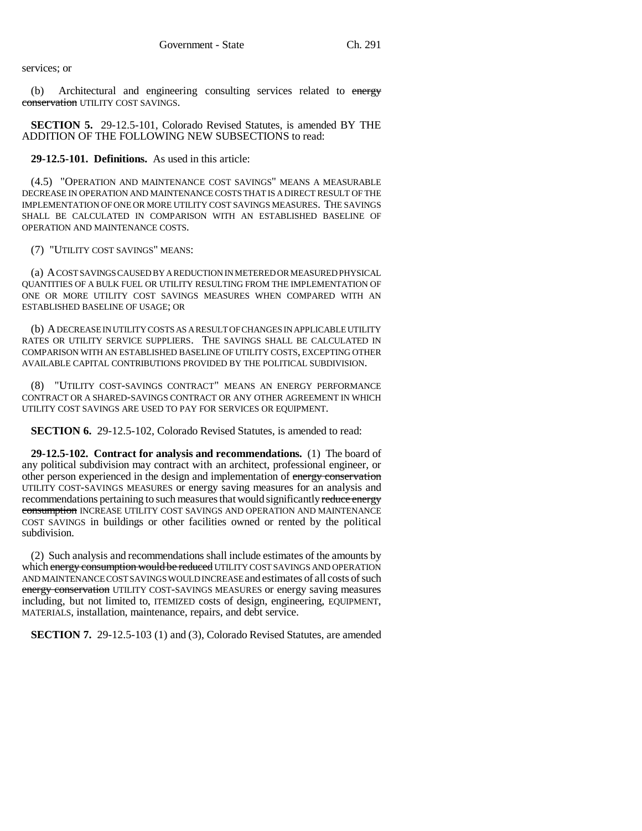services; or

(b) Architectural and engineering consulting services related to energy conservation UTILITY COST SAVINGS.

**SECTION 5.** 29-12.5-101, Colorado Revised Statutes, is amended BY THE ADDITION OF THE FOLLOWING NEW SUBSECTIONS to read:

**29-12.5-101. Definitions.** As used in this article:

(4.5) "OPERATION AND MAINTENANCE COST SAVINGS" MEANS A MEASURABLE DECREASE IN OPERATION AND MAINTENANCE COSTS THAT IS A DIRECT RESULT OF THE IMPLEMENTATION OF ONE OR MORE UTILITY COST SAVINGS MEASURES. THE SAVINGS SHALL BE CALCULATED IN COMPARISON WITH AN ESTABLISHED BASELINE OF OPERATION AND MAINTENANCE COSTS.

(7) "UTILITY COST SAVINGS" MEANS:

(a) A COST SAVINGS CAUSED BY A REDUCTION IN METERED OR MEASURED PHYSICAL QUANTITIES OF A BULK FUEL OR UTILITY RESULTING FROM THE IMPLEMENTATION OF ONE OR MORE UTILITY COST SAVINGS MEASURES WHEN COMPARED WITH AN ESTABLISHED BASELINE OF USAGE; OR

(b) A DECREASE IN UTILITY COSTS AS A RESULT OF CHANGES IN APPLICABLE UTILITY RATES OR UTILITY SERVICE SUPPLIERS. THE SAVINGS SHALL BE CALCULATED IN COMPARISON WITH AN ESTABLISHED BASELINE OF UTILITY COSTS, EXCEPTING OTHER AVAILABLE CAPITAL CONTRIBUTIONS PROVIDED BY THE POLITICAL SUBDIVISION.

(8) "UTILITY COST-SAVINGS CONTRACT" MEANS AN ENERGY PERFORMANCE CONTRACT OR A SHARED-SAVINGS CONTRACT OR ANY OTHER AGREEMENT IN WHICH UTILITY COST SAVINGS ARE USED TO PAY FOR SERVICES OR EQUIPMENT.

**SECTION 6.** 29-12.5-102, Colorado Revised Statutes, is amended to read:

**29-12.5-102. Contract for analysis and recommendations.** (1) The board of any political subdivision may contract with an architect, professional engineer, or other person experienced in the design and implementation of energy conservation UTILITY COST-SAVINGS MEASURES or energy saving measures for an analysis and recommendations pertaining to such measures that would significantly reduce energy consumption INCREASE UTILITY COST SAVINGS AND OPERATION AND MAINTENANCE COST SAVINGS in buildings or other facilities owned or rented by the political subdivision.

(2) Such analysis and recommendations shall include estimates of the amounts by which energy consumption would be reduced UTILITY COST SAVINGS AND OPERATION AND MAINTENANCE COST SAVINGS WOULD INCREASE and estimates of all costs of such energy conservation UTILITY COST-SAVINGS MEASURES or energy saving measures including, but not limited to, ITEMIZED costs of design, engineering, EQUIPMENT, MATERIALS, installation, maintenance, repairs, and debt service.

**SECTION 7.** 29-12.5-103 (1) and (3), Colorado Revised Statutes, are amended